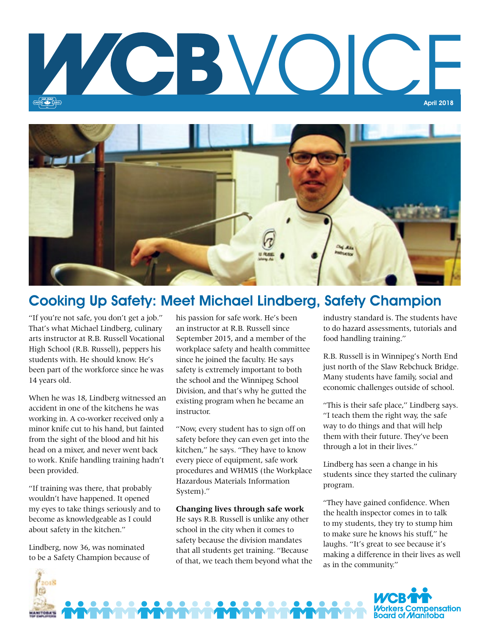



## Cooking Up Safety: Meet Michael Lindberg, Safety Champion

"If you're not safe, you don't get a job." That's what Michael Lindberg, culinary arts instructor at R.B. Russell Vocational High School (R.B. Russell), peppers his students with. He should know. He's been part of the workforce since he was 14 years old.

When he was 18, Lindberg witnessed an accident in one of the kitchens he was working in. A co-worker received only a minor knife cut to his hand, but fainted from the sight of the blood and hit his head on a mixer, and never went back to work. Knife handling training hadn't been provided.

"If training was there, that probably wouldn't have happened. It opened my eyes to take things seriously and to become as knowledgeable as I could about safety in the kitchen."

Lindberg, now 36, was nominated to be a Safety Champion because of

2018

his passion for safe work. He's been an instructor at R.B. Russell since September 2015, and a member of the workplace safety and health committee since he joined the faculty. He says safety is extremely important to both the school and the Winnipeg School Division, and that's why he gutted the existing program when he became an instructor.

"Now, every student has to sign off on safety before they can even get into the kitchen," he says. "They have to know every piece of equipment, safe work procedures and WHMIS (the Workplace Hazardous Materials Information System)."

#### **Changing lives through safe work**

He says R.B. Russell is unlike any other school in the city when it comes to safety because the division mandates that all students get training. "Because of that, we teach them beyond what the industry standard is. The students have to do hazard assessments, tutorials and food handling training."

R.B. Russell is in Winnipeg's North End just north of the Slaw Rebchuck Bridge. Many students have family, social and economic challenges outside of school.

"This is their safe place," Lindberg says. "I teach them the right way, the safe way to do things and that will help them with their future. They've been through a lot in their lives."

Lindberg has seen a change in his students since they started the culinary program.

"They have gained confidence. When the health inspector comes in to talk to my students, they try to stump him to make sure he knows his stuff," he laughs. "It's great to see because it's making a difference in their lives as well as in the community."